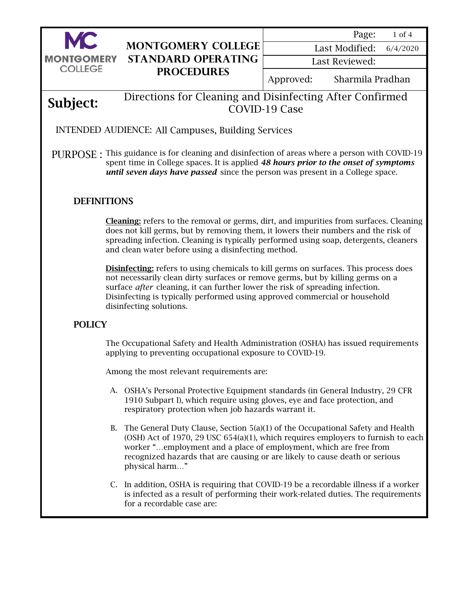

1 of 4 Page:

6/4/2020 Last Modified:

Last Reviewed:

Approved: Sharmila Pradhan

## Subject: Directions for Cleaning and Disinfecting After Confirmed COVID-19 Case

INTENDED AUDIENCE: All Campuses, Building Services

PURPOSE : This guidance is for cleaning and disinfection of areas where a person with COVID-19 spent time in College spaces. It is applied *48 hours prior to the onset of symptoms until seven days have passed* since the person was present in a College space.

## **DEFINITIONS**

Cleaning: refers to the removal or germs, dirt, and impurities from surfaces. Cleaning does not kill germs, but by removing them, it lowers their numbers and the risk of spreading infection. Cleaning is typically performed using soap, detergents, cleaners and clean water before using a disinfecting method.

Disinfecting: refers to using chemicals to kill germs on surfaces. This process does not necessarily clean dirty surfaces or remove germs, but by killing germs on a surface *after* cleaning, it can further lower the risk of spreading infection. Disinfecting is typically performed using approved commercial or household disinfecting solutions.

## POLICY

The Occupational Safety and Health Administration (OSHA) has issued requirements applying to preventing occupational exposure to COVID-19.

Among the most relevant requirements are:

- A. OSHA's Personal Protective Equipment standards (in General Industry, 29 CFR 1910 Subpart I), which require using gloves, eye and face protection, and respiratory protection when job hazards warrant it.
- B. The General Duty Clause, Section 5(a)(1) of the Occupational Safety and Health (OSH) Act of 1970, 29 USC 654(a)(1), which requires employers to furnish to each worker "…employment and a place of employment, which are free from recognized hazards that are causing or are likely to cause death or serious physical harm…"
- C. In addition, OSHA is requiring that COVID-19 be a recordable illness if a worker is infected as a result of performing their work-related duties. The requirements for a recordable case are: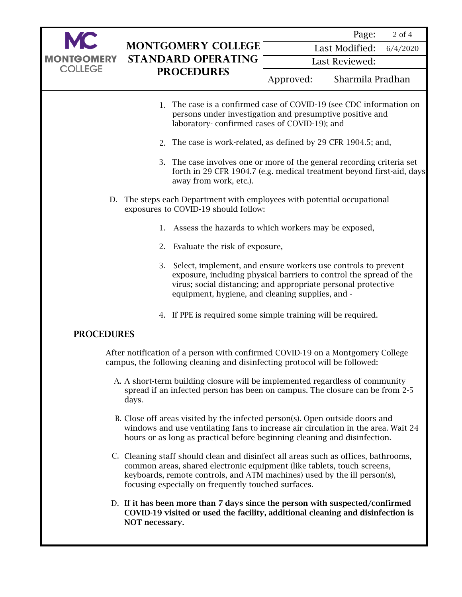

6/4/2020 Last Modified:

Last Reviewed:

- 1. The case is a confirmed case of COVID-19 (see CDC information on persons under investigation and presumptive positive and laboratory- confirmed cases of COVID-19); and
- 2. The case is work-related, as defined by 29 CFR 1904.5; and,
- 3. The case involves one or more of the general recording criteria set forth in 29 CFR 1904.7 (e.g. medical treatment beyond first-aid, days away from work, etc.).
- D. The steps each Department with employees with potential occupational exposures to COVID-19 should follow:
	- 1. Assess the hazards to which workers may be exposed,
	- 2. Evaluate the risk of exposure,
	- 3. Select, implement, and ensure workers use controls to prevent exposure, including physical barriers to control the spread of the virus; social distancing; and appropriate personal protective equipment, hygiene, and cleaning supplies, and -
	- 4. If PPE is required some simple training will be required.

## PROCEDURES

After notification of a person with confirmed COVID-19 on a Montgomery College campus, the following cleaning and disinfecting protocol will be followed:

- A. A short-term building closure will be implemented regardless of community spread if an infected person has been on campus. The closure can be from 2-5 days.
- B. Close off areas visited by the infected person(s). Open outside doors and windows and use ventilating fans to increase air circulation in the area. Wait 24 hours or as long as practical before beginning cleaning and disinfection.
- C. Cleaning staff should clean and disinfect all areas such as offices, bathrooms, common areas, shared electronic equipment (like tablets, touch screens, keyboards, remote controls, and ATM machines) used by the ill person(s), focusing especially on frequently touched surfaces.
- D. If it has been more than 7 days since the person with suspected/confirmed COVID-19 visited or used the facility, additional cleaning and disinfection is NOT necessary.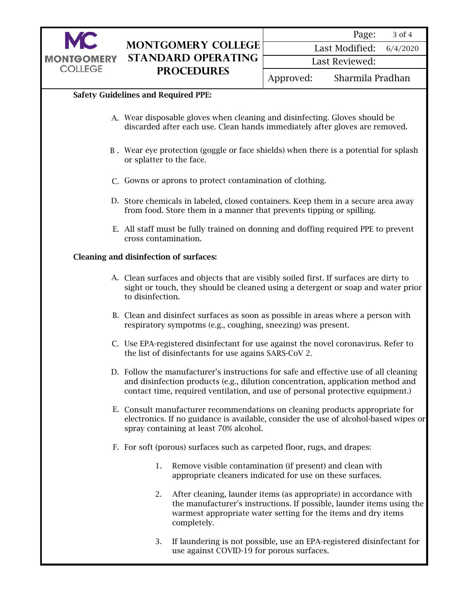

| Page: | 3 of 4 |  |
|-------|--------|--|
|-------|--------|--|

Last Modified: 6/4/2020

Last Reviewed:

Approved: Sharmila Pradhan

### Safety Guidelines and Required PPE:

- A. Wear disposable gloves when cleaning and disinfecting. Gloves should be discarded after each use. Clean hands immediately after gloves are removed.
- B . Wear eye protection (goggle or face shields) when there is a potential for splash or splatter to the face.
- C. Gowns or aprons to protect contamination of clothing.
- D. Store chemicals in labeled, closed containers. Keep them in a secure area away from food. Store them in a manner that prevents tipping or spilling.
- E. All staff must be fully trained on donning and doffing required PPE to prevent cross contamination.

#### Cleaning and disinfection of surfaces:

- A. Clean surfaces and objects that are visibly soiled first. If surfaces are dirty to sight or touch, they should be cleaned using a detergent or soap and water prior to disinfection.
- B. Clean and disinfect surfaces as soon as possible in areas where a person with respiratory sympotms (e.g., coughing, sneezing) was present.
- C. Use EPA-registered disinfectant for use against the novel coronavirus. Refer to the [list of disinfectants for use agains SARS-CoV 2.](https://www.epa.gov/pesticide-registration/list-n-disinfectants-use-against-sars-cov-2-covid-19)
- D. Follow the manufacturer's instructions for safe and effective use of all cleaning and disinfection products (e.g., dilution concentration, application method and contact time, required ventilation, and use of personal protective equipment.)
- E. Consult manufacturer recommendations on cleaning products appropriate for electronics. If no guidance is available, consider the use of alcohol-based wipes or spray containing at least 70% alcohol.
- F. For soft (porous) surfaces such as carpeted floor, rugs, and drapes:
	- 1. Remove visible contamination (if present) and clean with appropriate cleaners indicated for use on these surfaces.
	- 2. After cleaning, launder items (as appropriate) in accordance with the manufacturer's instructions. If possible, launder items using the warmest appropriate water setting for the items and dry items completely.
	- 3. If laundering is not possible, use an EPA-registered disinfectant for use against COVID-19 for porous surfaces.